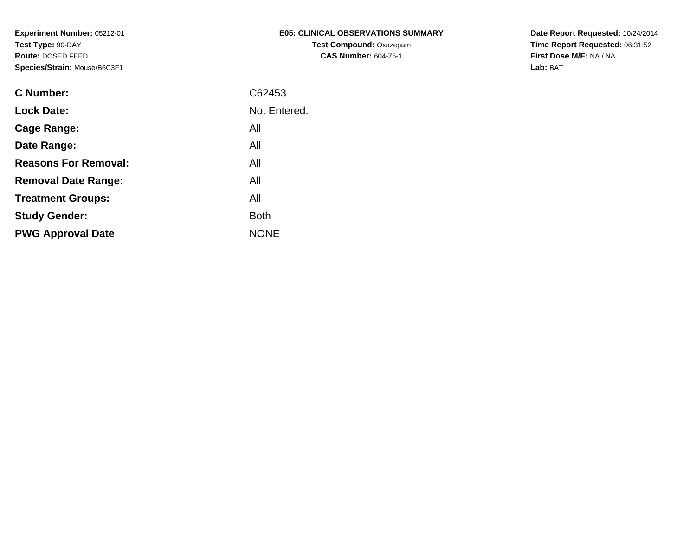| E05: CLINICAL OBSERVATIONS SUMMARY |
|------------------------------------|
| <b>Test Compound: Oxazepam</b>     |
| <b>CAS Number: 604-75-1</b>        |

**Date Report Requested:** 10/24/2014 **Time Report Requested:** 06:31:52**First Dose M/F:** NA / NA**Lab:** BAT

| <b>C</b> Number:            | C62453       |
|-----------------------------|--------------|
| <b>Lock Date:</b>           | Not Entered. |
| Cage Range:                 | All          |
| Date Range:                 | All          |
| <b>Reasons For Removal:</b> | All          |
| <b>Removal Date Range:</b>  | All          |
| <b>Treatment Groups:</b>    | All          |
| <b>Study Gender:</b>        | <b>Both</b>  |
| <b>PWG Approval Date</b>    | <b>NONE</b>  |
|                             |              |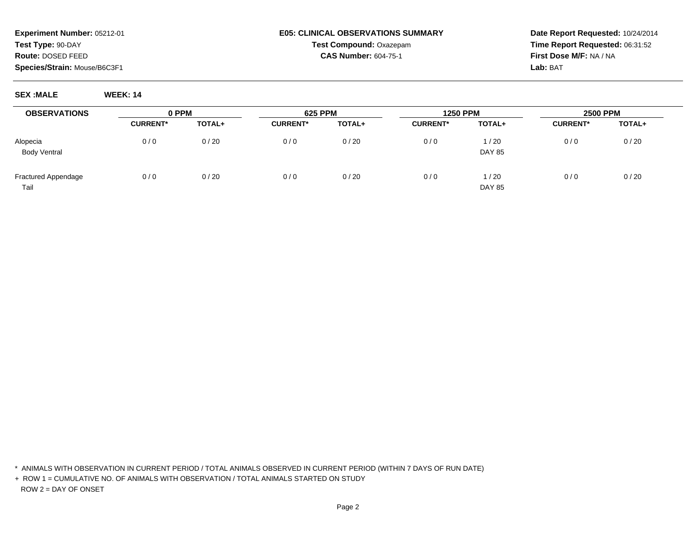## **E05: CLINICAL OBSERVATIONS SUMMARYTest Compound:** Oxazepam**CAS Number:** 604-75-1

**Date Report Requested:** 10/24/2014**Time Report Requested:** 06:31:52**First Dose M/F:** NA / NA**Lab:** BAT

**SEX :MALE WEEK: 14**

| <b>OBSERVATIONS</b>        | 0 PPM           |               | <b>625 PPM</b>  |        | <b>1250 PPM</b> |               | <b>2500 PPM</b> |        |
|----------------------------|-----------------|---------------|-----------------|--------|-----------------|---------------|-----------------|--------|
|                            | <b>CURRENT*</b> | <b>TOTAL+</b> | <b>CURRENT*</b> | TOTAL+ | <b>CURRENT*</b> | TOTAL+        | <b>CURRENT*</b> | TOTAL+ |
| Alopecia                   | 0/0             | 0/20          | 0/0             | 0/20   | 0/0             | 1/20          | 0/0             | 0/20   |
| <b>Body Ventral</b>        |                 |               |                 |        |                 | <b>DAY 85</b> |                 |        |
| <b>Fractured Appendage</b> | 0/0             | 0/20          | 0/0             | 0/20   | 0/0             | 1/20          | 0/0             | 0/20   |
| Tail                       |                 |               |                 |        |                 | <b>DAY 85</b> |                 |        |

\* ANIMALS WITH OBSERVATION IN CURRENT PERIOD / TOTAL ANIMALS OBSERVED IN CURRENT PERIOD (WITHIN 7 DAYS OF RUN DATE)

+ ROW 1 = CUMULATIVE NO. OF ANIMALS WITH OBSERVATION / TOTAL ANIMALS STARTED ON STUDYROW 2 = DAY OF ONSET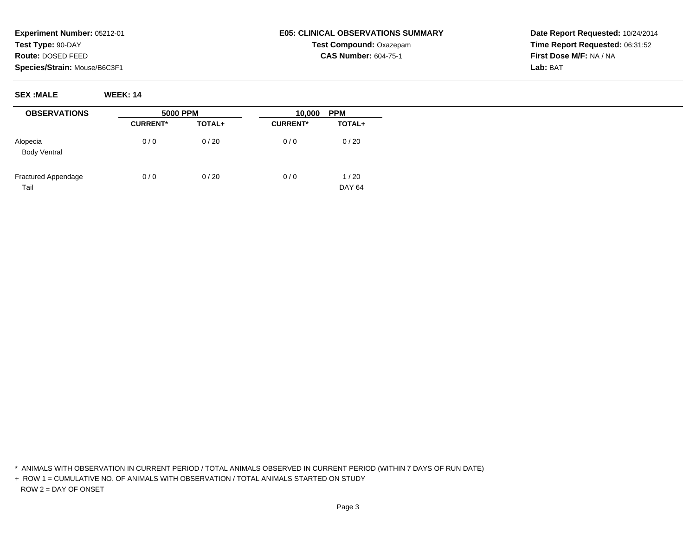## **E05: CLINICAL OBSERVATIONS SUMMARYTest Compound:** Oxazepam**CAS Number:** 604-75-1

**Date Report Requested:** 10/24/2014**Time Report Requested:** 06:31:52**First Dose M/F:** NA / NA**Lab:** BAT

**SEX :MALE WEEK: 14**

| <b>OBSERVATIONS</b>                | <b>5000 PPM</b> |        | <b>PPM</b><br>10,000 |                       |
|------------------------------------|-----------------|--------|----------------------|-----------------------|
|                                    | <b>CURRENT*</b> | TOTAL+ | <b>CURRENT*</b>      | TOTAL+                |
| Alopecia<br><b>Body Ventral</b>    | 0/0             | 0/20   | 0/0                  | 0/20                  |
| <b>Fractured Appendage</b><br>Tail | 0/0             | 0/20   | 0/0                  | 1/20<br><b>DAY 64</b> |

\* ANIMALS WITH OBSERVATION IN CURRENT PERIOD / TOTAL ANIMALS OBSERVED IN CURRENT PERIOD (WITHIN 7 DAYS OF RUN DATE)

+ ROW 1 = CUMULATIVE NO. OF ANIMALS WITH OBSERVATION / TOTAL ANIMALS STARTED ON STUDYROW 2 = DAY OF ONSET